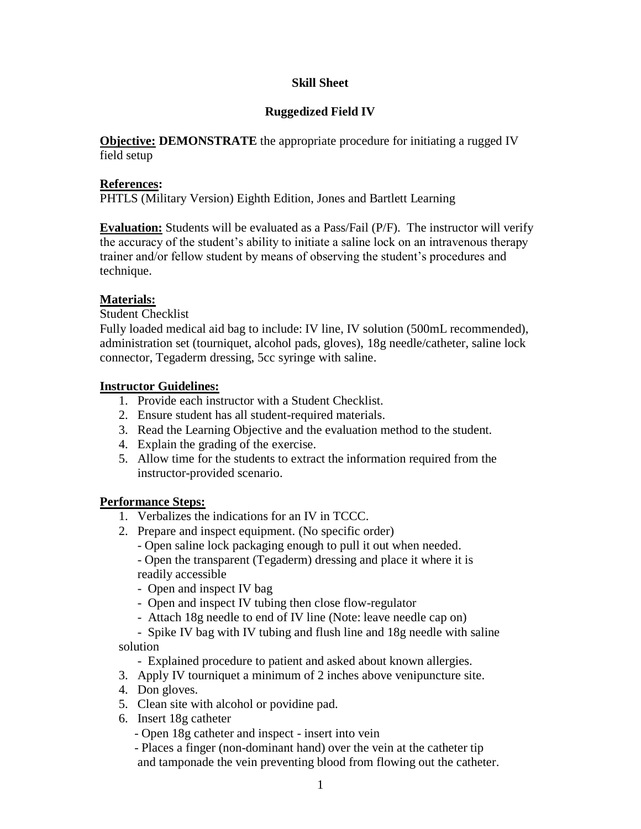# **Skill Sheet**

# **Ruggedized Field IV**

**Objective: DEMONSTRATE** the appropriate procedure for initiating a rugged IV field setup

#### **References:**

PHTLS (Military Version) Eighth Edition, Jones and Bartlett Learning

**Evaluation:** Students will be evaluated as a Pass/Fail (P/F). The instructor will verify the accuracy of the student's ability to initiate a saline lock on an intravenous therapy trainer and/or fellow student by means of observing the student's procedures and technique.

### **Materials:**

Student Checklist

Fully loaded medical aid bag to include: IV line, IV solution (500mL recommended), administration set (tourniquet, alcohol pads, gloves), 18g needle/catheter, saline lock connector, Tegaderm dressing, 5cc syringe with saline.

#### **Instructor Guidelines:**

- 1. Provide each instructor with a Student Checklist.
- 2. Ensure student has all student-required materials.
- 3. Read the Learning Objective and the evaluation method to the student.
- 4. Explain the grading of the exercise.
- 5. Allow time for the students to extract the information required from the instructor-provided scenario.

#### **Performance Steps:**

- 1. Verbalizes the indications for an IV in TCCC.
- 2. Prepare and inspect equipment. (No specific order)
	- Open saline lock packaging enough to pull it out when needed.
	- Open the transparent (Tegaderm) dressing and place it where it is readily accessible
	- Open and inspect IV bag
	- Open and inspect IV tubing then close flow-regulator
	- Attach 18g needle to end of IV line (Note: leave needle cap on)
- Spike IV bag with IV tubing and flush line and 18g needle with saline solution
	- Explained procedure to patient and asked about known allergies.
- 3. Apply IV tourniquet a minimum of 2 inches above venipuncture site.
- 4. Don gloves.
- 5. Clean site with alcohol or povidine pad.
- 6. Insert 18g catheter
	- Open 18g catheter and inspect insert into vein
	- Places a finger (non-dominant hand) over the vein at the catheter tip and tamponade the vein preventing blood from flowing out the catheter.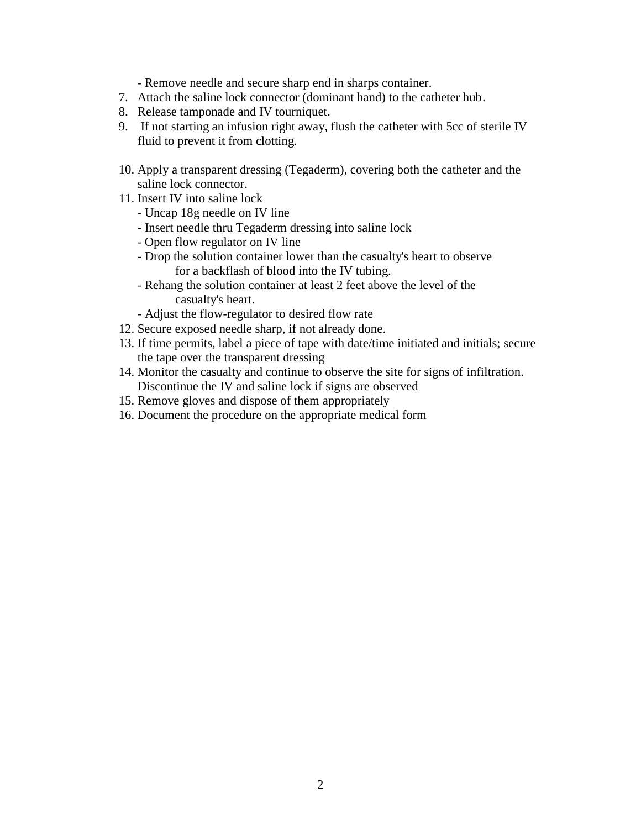- Remove needle and secure sharp end in sharps container.
- 7. Attach the saline lock connector (dominant hand) to the catheter hub.
- 8. Release tamponade and IV tourniquet.
- 9. If not starting an infusion right away, flush the catheter with 5cc of sterile IV fluid to prevent it from clotting.
- 10. Apply a transparent dressing (Tegaderm), covering both the catheter and the saline lock connector.
- 11. Insert IV into saline lock
	- Uncap 18g needle on IV line
	- Insert needle thru Tegaderm dressing into saline lock
	- Open flow regulator on IV line
	- Drop the solution container lower than the casualty's heart to observe for a backflash of blood into the IV tubing.
	- Rehang the solution container at least 2 feet above the level of the casualty's heart.
	- Adjust the flow-regulator to desired flow rate
- 12. Secure exposed needle sharp, if not already done.
- 13. If time permits, label a piece of tape with date/time initiated and initials; secure the tape over the transparent dressing
- 14. Monitor the casualty and continue to observe the site for signs of infiltration. Discontinue the IV and saline lock if signs are observed
- 15. Remove gloves and dispose of them appropriately
- 16. Document the procedure on the appropriate medical form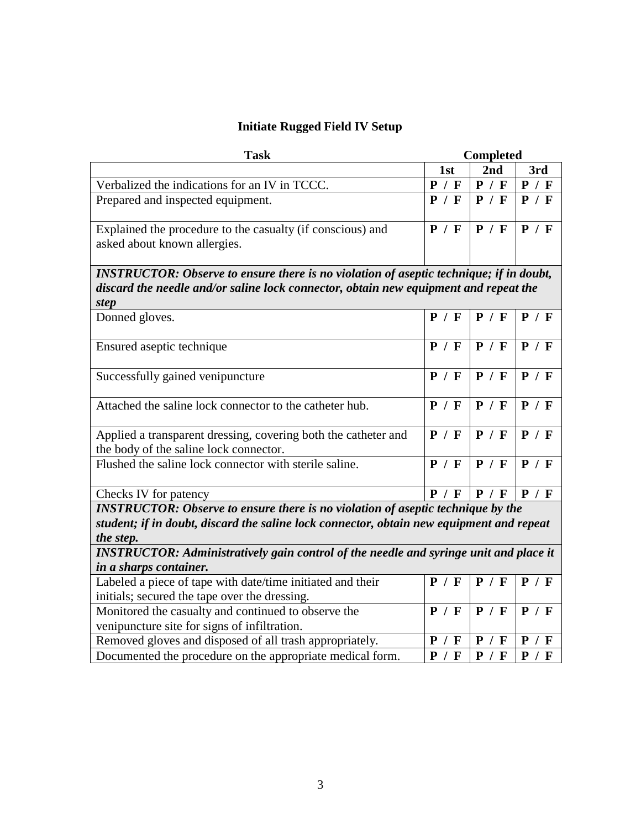# **Initiate Rugged Field IV Setup**

| <b>Task</b>                                                                                                                                                                                                                                                                                     | <b>Completed</b> |                    |       |  |
|-------------------------------------------------------------------------------------------------------------------------------------------------------------------------------------------------------------------------------------------------------------------------------------------------|------------------|--------------------|-------|--|
|                                                                                                                                                                                                                                                                                                 | 1st              | 2 <sub>nd</sub>    | 3rd   |  |
| Verbalized the indications for an IV in TCCC.                                                                                                                                                                                                                                                   | P / F            | P / F              | P / F |  |
| Prepared and inspected equipment.                                                                                                                                                                                                                                                               | P / F            | P / F              | P / F |  |
| Explained the procedure to the casualty (if conscious) and<br>asked about known allergies.                                                                                                                                                                                                      | P / F            | P / F              | P / F |  |
| <b>INSTRUCTOR: Observe to ensure there is no violation of aseptic technique; if in doubt,</b><br>discard the needle and/or saline lock connector, obtain new equipment and repeat the<br>step                                                                                                   |                  |                    |       |  |
| Donned gloves.                                                                                                                                                                                                                                                                                  | P / F            | P / F              | P / F |  |
| Ensured aseptic technique                                                                                                                                                                                                                                                                       | P / F            | P / F              | P / F |  |
| Successfully gained venipuncture                                                                                                                                                                                                                                                                | P / F            | P / F              | P / F |  |
| Attached the saline lock connector to the catheter hub.                                                                                                                                                                                                                                         | P / F            | P / F              | P / F |  |
| Applied a transparent dressing, covering both the catheter and                                                                                                                                                                                                                                  | P / F            | P / F              | P / F |  |
| the body of the saline lock connector.                                                                                                                                                                                                                                                          |                  |                    |       |  |
| Flushed the saline lock connector with sterile saline.                                                                                                                                                                                                                                          | P / F            | P / F              | P / F |  |
| Checks IV for patency                                                                                                                                                                                                                                                                           | P / F            | P / F              | P / F |  |
| <b>INSTRUCTOR: Observe to ensure there is no violation of aseptic technique by the</b><br>student; if in doubt, discard the saline lock connector, obtain new equipment and repeat<br>the step.<br><b>INSTRUCTOR: Administratively gain control of the needle and syringe unit and place it</b> |                  |                    |       |  |
| in a sharps container.                                                                                                                                                                                                                                                                          |                  |                    |       |  |
| Labeled a piece of tape with date/time initiated and their<br>initials; secured the tape over the dressing.                                                                                                                                                                                     | P / F            | P / F              | P / F |  |
| Monitored the casualty and continued to observe the                                                                                                                                                                                                                                             | P / F            | P / F              | P / F |  |
| venipuncture site for signs of infiltration.                                                                                                                                                                                                                                                    |                  |                    |       |  |
| Removed gloves and disposed of all trash appropriately.                                                                                                                                                                                                                                         | P / F            | P /<br>$\mathbf F$ | P / F |  |
| Documented the procedure on the appropriate medical form.                                                                                                                                                                                                                                       | P / F            | P / F              | P / F |  |